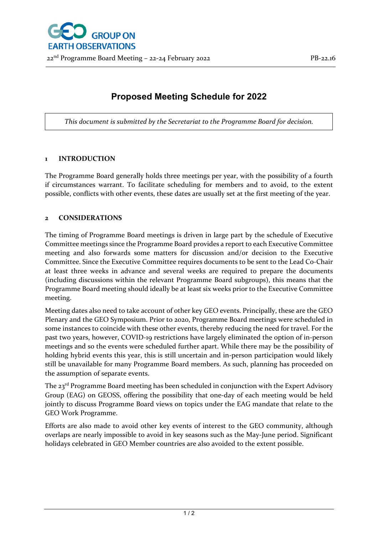## **Proposed Meeting Schedule for 2022**

*This document is submitted by the Secretariat to the Programme Board for decision.*

## **1 INTRODUCTION**

The Programme Board generally holds three meetings per year, with the possibility of a fourth if circumstances warrant. To facilitate scheduling for members and to avoid, to the extent possible, conflicts with other events, these dates are usually set at the first meeting of the year.

## **2 CONSIDERATIONS**

The timing of Programme Board meetings is driven in large part by the schedule of Executive Committee meetings since the Programme Board provides a report to each Executive Committee meeting and also forwards some matters for discussion and/or decision to the Executive Committee. Since the Executive Committee requires documents to be sent to the Lead Co-Chair at least three weeks in advance and several weeks are required to prepare the documents (including discussions within the relevant Programme Board subgroups), this means that the Programme Board meeting should ideally be at least six weeks prior to the Executive Committee meeting.

Meeting dates also need to take account of other key GEO events. Principally, these are the GEO Plenary and the GEO Symposium. Prior to 2020, Programme Board meetings were scheduled in some instances to coincide with these other events, thereby reducing the need for travel. For the past two years, however, COVID-19 restrictions have largely eliminated the option of in-person meetings and so the events were scheduled further apart. While there may be the possibility of holding hybrid events this year, this is still uncertain and in-person participation would likely still be unavailable for many Programme Board members. As such, planning has proceeded on the assumption of separate events.

The  $23<sup>rd</sup>$  Programme Board meeting has been scheduled in conjunction with the Expert Advisory Group (EAG) on GEOSS, offering the possibility that one-day of each meeting would be held jointly to discuss Programme Board views on topics under the EAG mandate that relate to the GEO Work Programme.

Efforts are also made to avoid other key events of interest to the GEO community, although overlaps are nearly impossible to avoid in key seasons such as the May-June period. Significant holidays celebrated in GEO Member countries are also avoided to the extent possible.